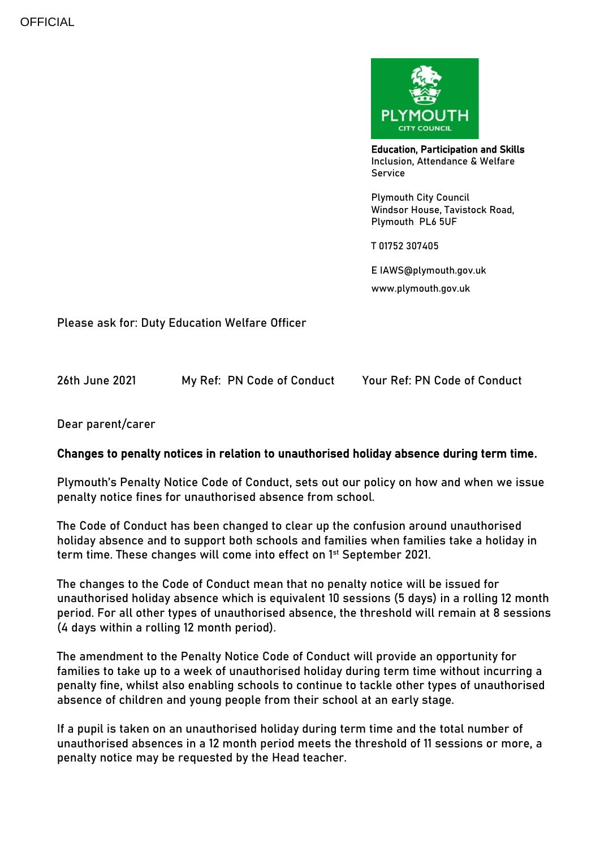

Education, Participation and Skills Inclusion, Attendance & Welfare Service

Plymouth City Council Windsor House, Tavistock Road, Plymouth PL6 5UF

T 01752 307405

E IAWS@plymouth.gov.uk

www.plymouth.gov.uk

Please ask for: Duty Education Welfare Officer

| 26th June 2021 | My Ref: PN Code of Conduct |  | Your Ref: PN Code of Conduct |
|----------------|----------------------------|--|------------------------------|
|                |                            |  |                              |

## Dear parent/carer

## Changes to penalty notices in relation to unauthorised holiday absence during term time.

Plymouth's Penalty Notice Code of Conduct, sets out our policy on how and when we issue penalty notice fines for unauthorised absence from school.

The Code of Conduct has been changed to clear up the confusion around unauthorised holiday absence and to support both schools and families when families take a holiday in term time. These changes will come into effect on 1<sup>st</sup> September 2021.

The changes to the Code of Conduct mean that no penalty notice will be issued for unauthorised holiday absence which is equivalent 10 sessions (5 days) in a rolling 12 month period. For all other types of unauthorised absence, the threshold will remain at 8 sessions (4 days within a rolling 12 month period).

The amendment to the Penalty Notice Code of Conduct will provide an opportunity for families to take up to a week of unauthorised holiday during term time without incurring a penalty fine, whilst also enabling schools to continue to tackle other types of unauthorised absence of children and young people from their school at an early stage.

If a pupil is taken on an unauthorised holiday during term time and the total number of unauthorised absences in a 12 month period meets the threshold of 11 sessions or more, a penalty notice may be requested by the Head teacher.